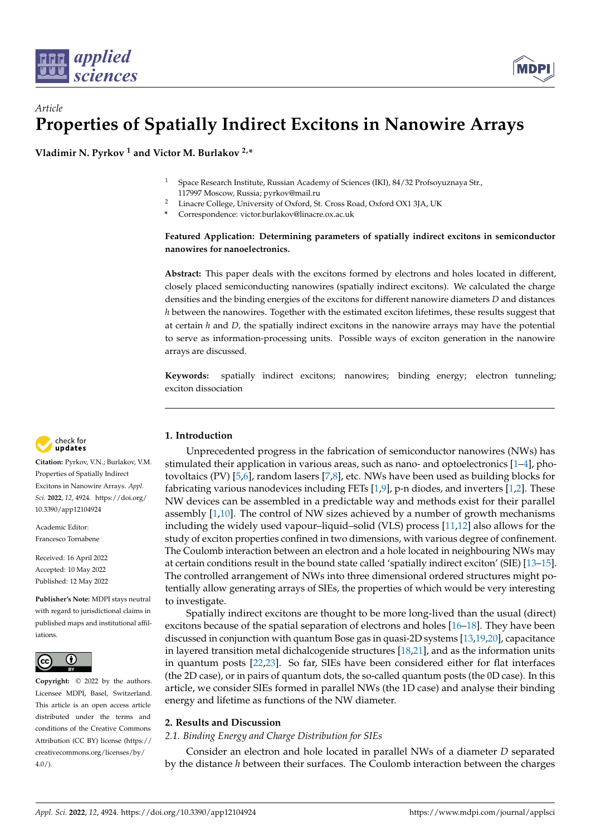



**Vladimir N. Pyrkov <sup>1</sup> and Victor M. Burlakov 2,\***

- <sup>1</sup> Space Research Institute, Russian Academy of Sciences (IKI), 84/32 Profsoyuznaya Str., 117997 Moscow, Russia; pyrkov@mail.ru
- <sup>2</sup> Linacre College, University of Oxford, St. Cross Road, Oxford OX1 3JA, UK
- **\*** Correspondence: victor.burlakov@linacre.ox.ac.uk

# **Featured Application: Determining parameters of spatially indirect excitons in semiconductor nanowires for nanoelectronics.**

**Abstract:** This paper deals with the excitons formed by electrons and holes located in different, closely placed semiconducting nanowires (spatially indirect excitons). We calculated the charge densities and the binding energies of the excitons for different nanowire diameters *D* and distances *h* between the nanowires. Together with the estimated exciton lifetimes, these results suggest that at certain *h* and *D,* the spatially indirect excitons in the nanowire arrays may have the potential to serve as information-processing units. Possible ways of exciton generation in the nanowire arrays are discussed.

**Keywords:** spatially indirect excitons; nanowires; binding energy; electron tunneling; exciton dissociation

## **1. Introduction**

Unprecedented progress in the fabrication of semiconductor nanowires (NWs) has stimulated their application in various areas, such as nano- and optoelectronics  $[1-4]$  $[1-4]$ , photovoltaics (PV) [\[5,](#page-5-2)[6\]](#page-5-3), random lasers [\[7,](#page-5-4)[8\]](#page-5-5), etc. NWs have been used as building blocks for fabricating various nanodevices including FETs [\[1](#page-5-0)[,9\]](#page-5-6), p-n diodes, and inverters [\[1](#page-5-0)[,2\]](#page-5-7). These NW devices can be assembled in a predictable way and methods exist for their parallel assembly [\[1](#page-5-0)[,10\]](#page-5-8). The control of NW sizes achieved by a number of growth mechanisms including the widely used vapour–liquid–solid (VLS) process [\[11,](#page-5-9)[12\]](#page-5-10) also allows for the study of exciton properties confined in two dimensions, with various degree of confinement. The Coulomb interaction between an electron and a hole located in neighbouring NWs may at certain conditions result in the bound state called 'spatially indirect exciton' (SIE) [\[13](#page-5-11)[–15\]](#page-5-12). The controlled arrangement of NWs into three dimensional ordered structures might potentially allow generating arrays of SIEs, the properties of which would be very interesting to investigate.

Spatially indirect excitons are thought to be more long-lived than the usual (direct) excitons because of the spatial separation of electrons and holes [\[16](#page-5-13)[–18\]](#page-5-14). They have been discussed in conjunction with quantum Bose gas in quasi-2D systems [\[13,](#page-5-11)[19,](#page-5-15)[20\]](#page-6-0), capacitance in layered transition metal dichalcogenide structures [\[18](#page-5-14)[,21\]](#page-6-1), and as the information units in quantum posts [\[22,](#page-6-2)[23\]](#page-6-3). So far, SIEs have been considered either for flat interfaces (the 2D case), or in pairs of quantum dots, the so-called quantum posts (the 0D case). In this article, we consider SIEs formed in parallel NWs (the 1D case) and analyse their binding energy and lifetime as functions of the NW diameter.

## **2. Results and Discussion**

### *2.1. Binding Energy and Charge Distribution for SIEs*

Consider an electron and hole located in parallel NWs of a diameter *D* separated by the distance *h* between their surfaces. The Coulomb interaction between the charges



**Citation:** Pyrkov, V.N.; Burlakov, V.M. Properties of Spatially Indirect Excitons in Nanowire Arrays. *Appl. Sci.* **2022**, *12*, 4924. [https://doi.org/](https://doi.org/10.3390/app12104924) [10.3390/app12104924](https://doi.org/10.3390/app12104924)

Academic Editor: Francesco Tornabene

Received: 16 April 2022 Accepted: 10 May 2022 Published: 12 May 2022

**Publisher's Note:** MDPI stays neutral with regard to jurisdictional claims in published maps and institutional affiliations.



**Copyright:** © 2022 by the authors. Licensee MDPI, Basel, Switzerland. This article is an open access article distributed under the terms and conditions of the Creative Commons Attribution (CC BY) license [\(https://](https://creativecommons.org/licenses/by/4.0/) [creativecommons.org/licenses/by/](https://creativecommons.org/licenses/by/4.0/)  $4.0/$ ).

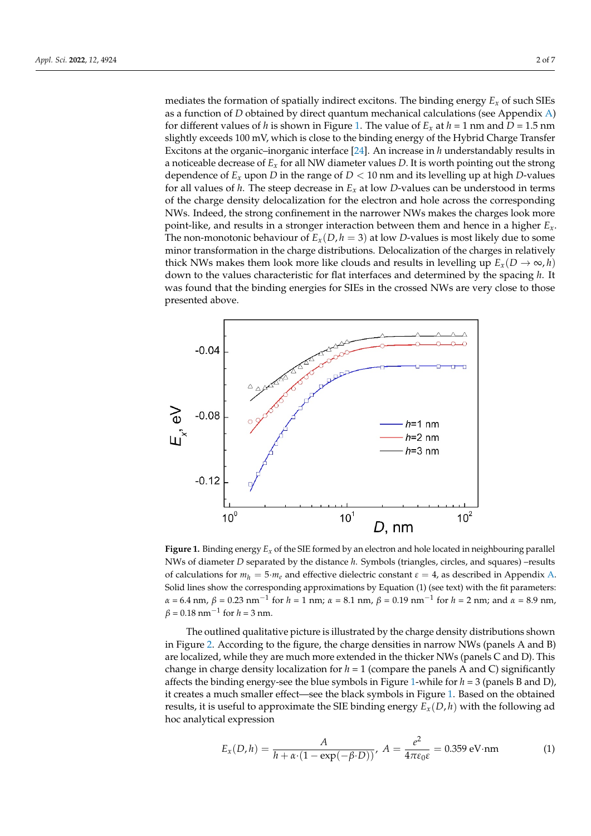mediates the formation of spatially indirect excitons. The binding energy  $E_x$  of such SIEs as a function of *D* obtained by direct quantum mechanical calculations (see Appendix [A\)](#page-3-0) for different values of *h* is shown in Figure [1.](#page-1-0) The value of  $E_x$  at  $h = 1$  nm and  $D = 1.5$  nm slightly exceeds 100 mV, which is close to the binding energy of the Hybrid Charge Transfer Excitons at the organic–inorganic interface [\[24\]](#page-6-4). An increase in *h* understandably results in a noticeable decrease of *Ex* for all NW diameter values *D*. It is worth pointing out the strong dependence of  $E_x$  upon D in the range of  $D < 10$  nm and its levelling up at high D-values for all values of *h*. The steep decrease in  $E_x$  at low *D*-values can be understood in terms of the charge decrease in  $E_x$  at low *D*-values can be understood in terms of the charge density delocalization for the electron and hole across the corresponding of the charge density delocalization for the electron and hole across the corresponding NWs. Indeed, the strong confinement in the narrower NWs makes the charges look more point-like, and results in a stronger interaction between them and hence in a higher  $E_x$ . The non-monotonic behaviour of  $E_x(D, h = 3)$  at low *D*-values is most likely due to some minor transformation in the charge distributions. Delocalization of the charges in relatively thick NWs makes them look more like clouds and results in levelling up  $E_x(D \to \infty, h)$ down to the values characteristic for flat interfaces and determined by the spacing *h*. It down to the values characteristic for flat interfaces and determined by the spacing *h*. It was found that the binding energies for SIEs in the crossed NWs are very close to those presented above.

<span id="page-1-0"></span>

Figure 1. Binding energy  $E_x$  of the SIE formed by an electron and hole located in neighbouring parallel allel NWs of diameter *D* separated by the distance *h*. Symbols (triangles, circles, and squares) – NWs of diameter *D* separated by the distance *h*. Symbols (triangles, circles, and squares) –results of calculations for  $m_h = 5 \cdot m_e$  and effective dielectric constant  $\varepsilon = 4$ , as described in Appendix [A.](#page-3-0) Solid lines show the corresponding approximations by Equation (1) (see text) with the fit parameters:  $\alpha$  = 6.4 nm,  $\beta$  = 0.23 nm<sup>-1</sup> for  $h$  = 1 nm;  $\alpha$  = 8.1 nm,  $\beta$  = 0.19 nm<sup>-1</sup> for  $h$  = 2 nm; and  $\alpha$  = 8.9 nm,  $\beta = 0.18$  nm<sup>-1</sup> for  $h = 3$  nm.

The outlined qualitative picture is illustrated by the charge density distributions The outlined qualitative picture is illustrated by the charge density distributions shown in Figure [2.](#page-2-0) According to the figure, the charge densities in narrow NWs (panels A and B) are localized, while they are much more extended in the thicker NWs (panels C and D). This change in charge density localization for  $h = 1$  (compare the panels A and C) significantly affects the binding energy-see the blue symbols in Figure [1-](#page-1-0)while for  $h = 3$  (panels B and D), it creates a much smaller effect—see the black symbols in Figure [1.](#page-1-0) Based on the obtained results, it is useful to approximate the SIE binding energy *Ex*(*D*, *h*) with the following ad hoc analytical expression

$$
E_x(D, h) = \frac{A}{h + \alpha \cdot (1 - \exp(-\beta \cdot D))}, \quad A = \frac{e^2}{4\pi\varepsilon_0 \varepsilon} = 0.359 \text{ eV} \cdot \text{nm}
$$
 (1)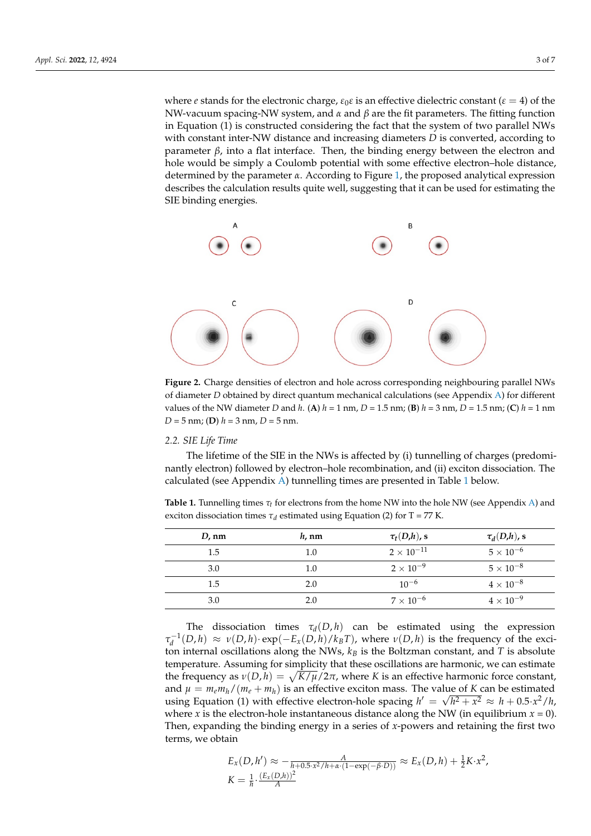where *e* stands for the electronic charge,  $\varepsilon_0 \varepsilon$  is an effective dielectric constant ( $\varepsilon = 4$ ) of the NW-vacuum spacing-NW system, and *α* and *β* are the fit parameters. The fitting function in Equation (1) is constructed considering the fact that the system of two parallel NWs with constant inter-NW distance and increasing diameters *D* is converted, according to parameter  $\beta$ , into a flat interface. Then, the binding energy between the electron and hole would be simply a Coulomb potential with some effective electron–hole distance, hole would be simply a Coulomb potential with some effective electron–hole distance, determined by the parameter *α*. According to Figure 1, the proposed analytical expression describes the calculation results quite well, suggesting that it can be used for estimating the SIE binding energies. determined by the parameter *α*. According to Figure [1,](#page-1-0) the proposed analytical expression describes the calculation results quite well, suggesting that it can be used for estimating the SIE binding energies.

, , 0.359 1 exp 4 *<sup>x</sup>*

<span id="page-2-0"></span>

of diameter *D* obtained by direct quantum mechanical calculations (see Appendix [A\)](#page-3-0) for different diameter *D* obtained by direct quantum mechanical calculations (see Appendix) for different values values of the NW diameter *D* and *h*. (**A**)  $h = 1$  nm,  $D = 1.5$  nm; (**B**)  $h = 3$  nm,  $D = 1.5$  nm; (**C**)  $h = 1$  nm nm; (**D**) *h* = 3 nm, *D* = 5 nm. *D* = 5 nm; (**D**) *h* = 3 nm, *D* = 5 nm. **Figure 2.** Charge densities of electron and hole across corresponding neighbouring parallel NWs

#### *2.2. SIE Life Time*

The lifetime of the SIE in the NWs is affected by (i) tunnelling of charges (predominantly electron) followed by electron–hole recombination, and (ii) exciton dissociation. The calculated (see Appendix [A\)](#page-3-0) tunnelling times are presented in Table [1](#page-2-1) below.  $\frac{1}{\sqrt{2}}$  tunnelling times are presented in Table 1 below.

<span id="page-2-1"></span>exciton dissociation times *τd* estimated using Equation (2) for T = 77 K. **Table 1.** Tunnelling times *τt* for electrons from the home NW into the hole NW (see Appendix [A\)](#page-3-0) and

| $D$ , nm | $h$ , nm | $\tau_t(D,h)$ , s | $\tau_d(D,h)$ , s |
|----------|----------|-------------------|-------------------|
| 1.5      | $1.0\,$  | $2\times10^{-11}$ | $5\times10^{-6}$  |
| 3.0      | 1.0      | $2\times10^{-9}$  | $5\times10^{-8}$  |
| 1.5      | 2.0      | $10^{-6}$         | $4\times10^{-8}$  |
| 3.0      | 2.0      | $7\times10^{-6}$  | $4\times10^{-9}$  |

 $3.0$   $3.0$   $3.0$   $3.0$   $3.0$   $3.0$   $3.0$   $3.0$   $3.0$   $3.0$   $3.0$   $3.0$   $3.0$   $3.0$   $3.0$   $3.0$   $3.0$   $3.0$   $3.0$   $3.0$   $3.0$   $3.0$   $3.0$   $3.0$   $3.0$   $3.0$   $3.0$   $3.0$   $3.0$   $3.0$   $3.0$   $3.0$   $3.0$   $3.0$   $3.0$   $3.0$   $3.0$ 

 $\tau_d^{-1}(D,h) \approx \nu(D,h) \cdot \exp(-E_x(D,h)/k_B T)$ , where  $\nu(D,h)$  is the frequency of the excitemperature. Assuming for simplicity that these oscillations are harmonic, we can estimate the frequency as  $v(D, h) = \sqrt{K/\mu}/2\pi$ , where K is an effective harmonic force constant, The dissociation times  $\tau_d(D, h)$  can be estimated using the expression ton internal oscillations along the NWs,  $k_B$  is the Boltzman constant, and *T* is absolute and  $\mu = m_e m_h / (m_e + m_h)$  is an effective exciton mass. The value of *K* can be estimated using Equation (1) with effective electron-hole spacing  $h' = \sqrt{h^2 + x^2} \approx h + 0.5 \cdot x^2/h$ , where *x* is the electron-hole instantaneous distance along the NW (in equilibrium  $x = 0$ ). Then, expanding the binding energy in a series of *x*-powers and retaining the first two terms, we obtain

$$
E_x(D, h') \approx -\frac{A}{h + 0.5 \cdot x^2/h + \alpha \cdot (1 - \exp(-\beta \cdot D))} \approx E_x(D, h) + \frac{1}{2}K \cdot x^2,
$$
  

$$
K = \frac{1}{h} \cdot \frac{(E_x(D, h))^2}{A}
$$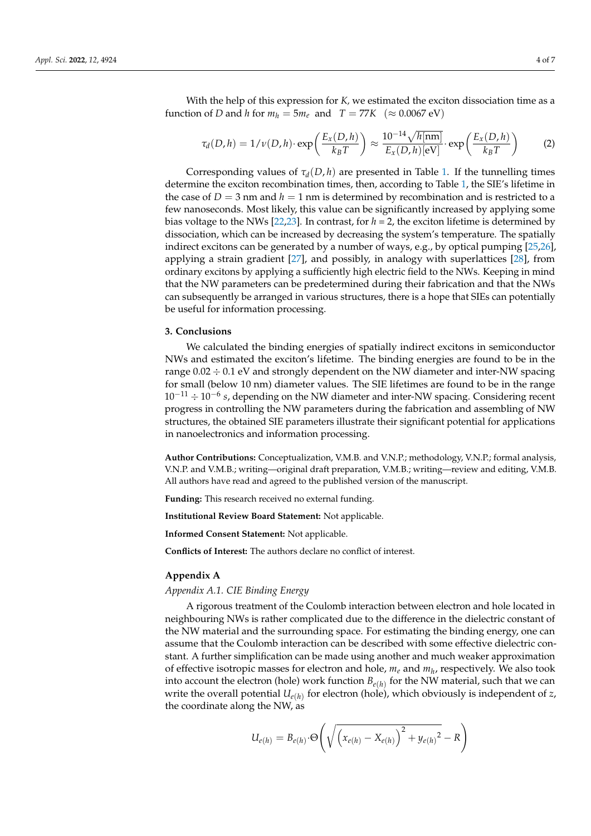With the help of this expression for *K,* we estimated the exciton dissociation time as a function of *D* and *h* for  $m_h = 5m_e$  and  $T = 77K \approx 0.0067 \text{ eV}$ 

$$
\tau_d(D, h) = 1/\nu(D, h) \cdot \exp\left(\frac{E_x(D, h)}{k_B T}\right) \approx \frac{10^{-14} \sqrt{h[\text{nm}]}}{E_x(D, h)[\text{eV}]} \cdot \exp\left(\frac{E_x(D, h)}{k_B T}\right) \tag{2}
$$

Corresponding values of  $\tau_d(D, h)$  are presented in Table [1.](#page-2-1) If the tunnelling times determine the exciton recombination times, then, according to Table [1,](#page-2-1) the SIE's lifetime in the case of  $D = 3$  nm and  $h = 1$  nm is determined by recombination and is restricted to a few nanoseconds. Most likely, this value can be significantly increased by applying some bias voltage to the NWs  $[22,23]$  $[22,23]$ . In contrast, for  $h = 2$ , the exciton lifetime is determined by dissociation, which can be increased by decreasing the system's temperature. The spatially indirect excitons can be generated by a number of ways, e.g., by optical pumping [\[25,](#page-6-5)[26\]](#page-6-6), applying a strain gradient [\[27\]](#page-6-7), and possibly, in analogy with superlattices [\[28\]](#page-6-8), from ordinary excitons by applying a sufficiently high electric field to the NWs. Keeping in mind that the NW parameters can be predetermined during their fabrication and that the NWs can subsequently be arranged in various structures, there is a hope that SIEs can potentially be useful for information processing.

### **3. Conclusions**

We calculated the binding energies of spatially indirect excitons in semiconductor NWs and estimated the exciton's lifetime. The binding energies are found to be in the range 0.02 ÷ 0.1 eV and strongly dependent on the NW diameter and inter-NW spacing for small (below 10 nm) diameter values. The SIE lifetimes are found to be in the range 10−<sup>11</sup> ÷ 10−<sup>6</sup> *s*, depending on the NW diameter and inter-NW spacing. Considering recent progress in controlling the NW parameters during the fabrication and assembling of NW structures, the obtained SIE parameters illustrate their significant potential for applications in nanoelectronics and information processing.

**Author Contributions:** Conceptualization, V.M.B. and V.N.P.; methodology, V.N.P.; formal analysis, V.N.P. and V.M.B.; writing—original draft preparation, V.M.B.; writing—review and editing, V.M.B. All authors have read and agreed to the published version of the manuscript.

**Funding:** This research received no external funding.

**Institutional Review Board Statement:** Not applicable.

**Informed Consent Statement:** Not applicable.

**Conflicts of Interest:** The authors declare no conflict of interest.

#### <span id="page-3-0"></span>**Appendix A**

## *Appendix A.1. CIE Binding Energy*

A rigorous treatment of the Coulomb interaction between electron and hole located in neighbouring NWs is rather complicated due to the difference in the dielectric constant of the NW material and the surrounding space. For estimating the binding energy, one can assume that the Coulomb interaction can be described with some effective dielectric constant. A further simplification can be made using another and much weaker approximation of effective isotropic masses for electron and hole, *m<sup>e</sup>* and *m<sup>h</sup>* , respectively. We also took into account the electron (hole) work function  $B_{e(h)}$  for the NW material, such that we can write the overall potential  $U_{e(h)}$  for electron (hole), which obviously is independent of  $z$ , the coordinate along the NW, as

$$
U_{e(h)} = B_{e(h)} \cdot \Theta \left( \sqrt{\left( x_{e(h)} - X_{e(h)} \right)^2 + y_{e(h)}^2} - R \right)
$$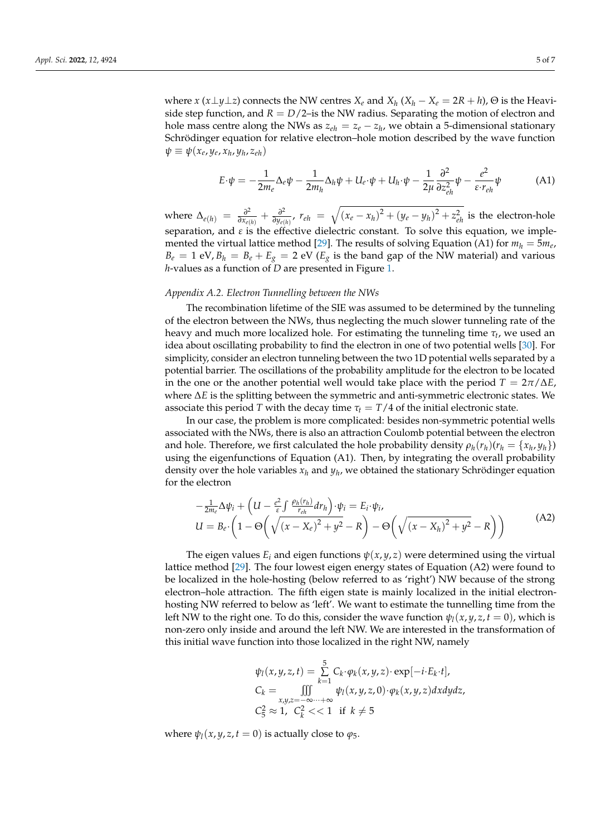where  $x(x \perp y \perp z)$  connects the NW centres  $X_e$  and  $X_h$   $(X_h - X_e = 2R + h)$ ,  $\Theta$  is the Heaviside step function, and  $R = D/2$ –is the NW radius. Separating the motion of electron and hole mass centre along the NWs as  $z_{eh} = z_e - z_h$ , we obtain a 5-dimensional stationary Schrödinger equation for relative electron–hole motion described by the wave function  $\psi \equiv \psi(x_e, y_e, x_h, y_h, z_{eh})$ 

$$
E \cdot \psi = -\frac{1}{2m_e} \Delta_e \psi - \frac{1}{2m_h} \Delta_h \psi + U_e \cdot \psi + U_h \cdot \psi - \frac{1}{2\mu} \frac{\partial^2}{\partial z_{eh}^2} \psi - \frac{e^2}{\varepsilon \cdot r_{eh}} \psi \tag{A1}
$$

where  $\Delta_{e(h)} = \frac{\partial^2}{\partial x_e}$  $\frac{\partial^2}{\partial x_{e(h)}} + \frac{\partial^2}{\partial y_{e(h)}}$ *∂*<sup>*2*</sup><sub>*oy*</sub>*e*(*h*)</sub>  $r$ <sub>*eh*</sub> =  $\sqrt{(x_e - x_h)^2 + (y_e - y_h)^2 + z_{eh}^2}$  is the electron-hole separation, and  $\varepsilon$  is the effective dielectric constant. To solve this equation, we imple-mented the virtual lattice method [\[29\]](#page-6-9). The results of solving Equation (A1) for  $m_h = 5m_e$ ,  $B_e = 1$  eV,  $B_h = B_e + E_g = 2$  eV ( $E_g$  is the band gap of the NW material) and various *h*-values as a function of *D* are presented in Figure [1.](#page-1-0)

#### *Appendix A.2. Electron Tunnelling between the NWs*

The recombination lifetime of the SIE was assumed to be determined by the tunneling of the electron between the NWs, thus neglecting the much slower tunneling rate of the heavy and much more localized hole. For estimating the tunneling time *τ<sup>t</sup>* , we used an idea about oscillating probability to find the electron in one of two potential wells [\[30\]](#page-6-10). For simplicity, consider an electron tunneling between the two 1D potential wells separated by a potential barrier. The oscillations of the probability amplitude for the electron to be located in the one or the another potential well would take place with the period  $T = 2\pi/\Delta E$ , where ∆*E* is the splitting between the symmetric and anti-symmetric electronic states. We associate this period *T* with the decay time  $\tau_t = T/4$  of the initial electronic state.

In our case, the problem is more complicated: besides non-symmetric potential wells associated with the NWs, there is also an attraction Coulomb potential between the electron and hole. Therefore, we first calculated the hole probability density  $\rho_h(r_h)(r_h = \{x_h, y_h\})$ using the eigenfunctions of Equation (A1). Then, by integrating the overall probability density over the hole variables *x<sup>h</sup>* and *y<sup>h</sup>* , we obtained the stationary Schrödinger equation for the electron

$$
-\frac{1}{2m_e}\Delta\psi_i + \left(U - \frac{e^2}{\varepsilon} \int \frac{\rho_h(r_h)}{r_{eh}} dr_h\right) \cdot \psi_i = E_i \cdot \psi_i,
$$
  
\n
$$
U = B_e \cdot \left(1 - \Theta\left(\sqrt{(x - X_e)^2 + y^2} - R\right) - \Theta\left(\sqrt{(x - X_h)^2 + y^2} - R\right)\right)
$$
\n(A2)

The eigen values  $E_i$  and eigen functions  $\psi(x, y, z)$  were determined using the virtual lattice method [\[29\]](#page-6-9). The four lowest eigen energy states of Equation (A2) were found to be localized in the hole-hosting (below referred to as 'right') NW because of the strong electron–hole attraction. The fifth eigen state is mainly localized in the initial electronhosting NW referred to below as 'left'. We want to estimate the tunnelling time from the left NW to the right one. To do this, consider the wave function  $\psi_l(x, y, z, t = 0)$ , which is non-zero only inside and around the left NW. We are interested in the transformation of this initial wave function into those localized in the right NW, namely

$$
\psi_l(x, y, z, t) = \sum_{k=1}^5 C_k \cdot \varphi_k(x, y, z) \cdot \exp[-i \cdot E_k \cdot t],
$$
  
\n
$$
C_k = \iiint_{x, y, z = -\infty \cdots + \infty} \psi_l(x, y, z, 0) \cdot \varphi_k(x, y, z) dx dy dz,
$$
  
\n
$$
C_5^2 \approx 1, \quad C_k^2 \ll 1 \quad \text{if } k \neq 5
$$

where  $\psi_l(x, y, z, t = 0)$  is actually close to  $\varphi_5$ .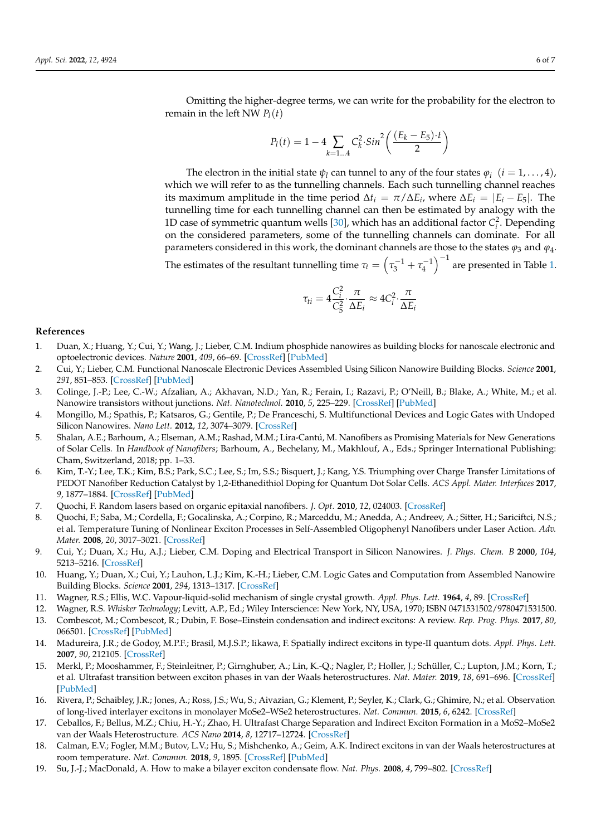Omitting the higher-degree terms, we can write for the probability for the electron to remain in the left NW  $P_l(t)$ 

$$
P_l(t) = 1 - 4 \sum_{k=1...4} C_k^2 \cdot \sin^2\left(\frac{(E_k - E_5) \cdot t}{2}\right)
$$

The electron in the initial state  $\psi_l$  can tunnel to any of the four states  $\varphi_i$  ( $i = 1, \dots, 4$ ), which we will refer to as the tunnelling channels. Each such tunnelling channel reaches its maximum amplitude in the time period  $\Delta t_i = \pi / \Delta E_i$ , where  $\Delta E_i = |E_i - E_5|$ . The tunnelling time for each tunnelling channel can then be estimated by analogy with the 1D case of symmetric quantum wells [\[30\]](#page-6-10), which has an additional factor  $C_i^2$ . Depending on the considered parameters, some of the tunnelling channels can dominate. For all parameters considered in this work, the dominant channels are those to the states *ϕ*<sup>3</sup> and *ϕ*4. The estimates of the resultant tunnelling time  $\tau_t = \left(\tau_3^{-1} + \tau_4^{-1}\right)^{-1}$  are presented in Table [1.](#page-2-1)

$$
\tau_{ti} = 4 \frac{C_i^2}{C_5^2} \cdot \frac{\pi}{\Delta E_i} \approx 4 C_i^2 \cdot \frac{\pi}{\Delta E_i}
$$

### **References**

- <span id="page-5-0"></span>1. Duan, X.; Huang, Y.; Cui, Y.; Wang, J.; Lieber, C.M. Indium phosphide nanowires as building blocks for nanoscale electronic and optoelectronic devices. *Nature* **2001**, *409*, 66–69. [\[CrossRef\]](http://doi.org/10.1038/35051047) [\[PubMed\]](http://www.ncbi.nlm.nih.gov/pubmed/11343112)
- <span id="page-5-7"></span>2. Cui, Y.; Lieber, C.M. Functional Nanoscale Electronic Devices Assembled Using Silicon Nanowire Building Blocks. *Science* **2001**, *291*, 851–853. [\[CrossRef\]](http://doi.org/10.1126/science.291.5505.851) [\[PubMed\]](http://www.ncbi.nlm.nih.gov/pubmed/11157160)
- 3. Colinge, J.-P.; Lee, C.-W.; Afzalian, A.; Akhavan, N.D.; Yan, R.; Ferain, I.; Razavi, P.; O'Neill, B.; Blake, A.; White, M.; et al. Nanowire transistors without junctions. *Nat. Nanotechnol.* **2010**, *5*, 225–229. [\[CrossRef\]](http://doi.org/10.1038/nnano.2010.15) [\[PubMed\]](http://www.ncbi.nlm.nih.gov/pubmed/20173755)
- <span id="page-5-1"></span>4. Mongillo, M.; Spathis, P.; Katsaros, G.; Gentile, P.; De Franceschi, S. Multifunctional Devices and Logic Gates with Undoped Silicon Nanowires. *Nano Lett.* **2012**, *12*, 3074–3079. [\[CrossRef\]](http://doi.org/10.1021/nl300930m)
- <span id="page-5-2"></span>5. Shalan, A.E.; Barhoum, A.; Elseman, A.M.; Rashad, M.M.; Lira-Cantú, M. Nanofibers as Promising Materials for New Generations of Solar Cells. In *Handbook of Nanofibers*; Barhoum, A., Bechelany, M., Makhlouf, A., Eds.; Springer International Publishing: Cham, Switzerland, 2018; pp. 1–33.
- <span id="page-5-3"></span>6. Kim, T.-Y.; Lee, T.K.; Kim, B.S.; Park, S.C.; Lee, S.; Im, S.S.; Bisquert, J.; Kang, Y.S. Triumphing over Charge Transfer Limitations of PEDOT Nanofiber Reduction Catalyst by 1,2-Ethanedithiol Doping for Quantum Dot Solar Cells. *ACS Appl. Mater. Interfaces* **2017**, *9*, 1877–1884. [\[CrossRef\]](http://doi.org/10.1021/acsami.6b12536) [\[PubMed\]](http://www.ncbi.nlm.nih.gov/pubmed/28004908)
- <span id="page-5-4"></span>7. Quochi, F. Random lasers based on organic epitaxial nanofibers. *J. Opt.* **2010**, *12*, 024003. [\[CrossRef\]](http://doi.org/10.1088/2040-8978/12/2/024003)
- <span id="page-5-5"></span>8. Quochi, F.; Saba, M.; Cordella, F.; Gocalinska, A.; Corpino, R.; Marceddu, M.; Anedda, A.; Andreev, A.; Sitter, H.; Sariciftci, N.S.; et al. Temperature Tuning of Nonlinear Exciton Processes in Self-Assembled Oligophenyl Nanofibers under Laser Action. *Adv. Mater.* **2008**, *20*, 3017–3021. [\[CrossRef\]](http://doi.org/10.1002/adma.200800509)
- <span id="page-5-6"></span>9. Cui, Y.; Duan, X.; Hu, A.J.; Lieber, C.M. Doping and Electrical Transport in Silicon Nanowires. *J. Phys. Chem. B* **2000**, *104*, 5213–5216. [\[CrossRef\]](http://doi.org/10.1021/jp0009305)
- <span id="page-5-8"></span>10. Huang, Y.; Duan, X.; Cui, Y.; Lauhon, L.J.; Kim, K.-H.; Lieber, C.M. Logic Gates and Computation from Assembled Nanowire Building Blocks. *Science* **2001**, *294*, 1313–1317. [\[CrossRef\]](http://doi.org/10.1126/science.1066192)
- <span id="page-5-9"></span>11. Wagner, R.S.; Ellis, W.C. Vapour-liquid-solid mechanism of single crystal growth. *Appl. Phys. Lett.* **1964**, *4*, 89. [\[CrossRef\]](http://doi.org/10.1063/1.1753975)
- <span id="page-5-10"></span>12. Wagner, R.S. *Whisker Technology*; Levitt, A.P., Ed.; Wiley Interscience: New York, NY, USA, 1970; ISBN 0471531502/9780471531500.
- <span id="page-5-11"></span>13. Combescot, M.; Combescot, R.; Dubin, F. Bose–Einstein condensation and indirect excitons: A review. *Rep. Prog. Phys.* **2017**, *80*, 066501. [\[CrossRef\]](http://doi.org/10.1088/1361-6633/aa50e3) [\[PubMed\]](http://www.ncbi.nlm.nih.gov/pubmed/28355164)
- 14. Madureira, J.R.; de Godoy, M.P.F.; Brasil, M.J.S.P.; Iikawa, F. Spatially indirect excitons in type-II quantum dots. *Appl. Phys. Lett.* **2007**, *90*, 212105. [\[CrossRef\]](http://doi.org/10.1063/1.2741601)
- <span id="page-5-12"></span>15. Merkl, P.; Mooshammer, F.; Steinleitner, P.; Girnghuber, A.; Lin, K.-Q.; Nagler, P.; Holler, J.; Schüller, C.; Lupton, J.M.; Korn, T.; et al. Ultrafast transition between exciton phases in van der Waals heterostructures. *Nat. Mater.* **2019**, *18*, 691–696. [\[CrossRef\]](http://doi.org/10.1038/s41563-019-0337-0) [\[PubMed\]](http://www.ncbi.nlm.nih.gov/pubmed/30962556)
- <span id="page-5-13"></span>16. Rivera, P.; Schaibley, J.R.; Jones, A.; Ross, J.S.; Wu, S.; Aivazian, G.; Klement, P.; Seyler, K.; Clark, G.; Ghimire, N.; et al. Observation of long-lived interlayer excitons in monolayer MoSe2–WSe2 heterostructures. *Nat. Commun.* **2015**, *6*, 6242. [\[CrossRef\]](http://doi.org/10.1038/ncomms7242)
- 17. Ceballos, F.; Bellus, M.Z.; Chiu, H.-Y.; Zhao, H. Ultrafast Charge Separation and Indirect Exciton Formation in a MoS2–MoSe2 van der Waals Heterostructure. *ACS Nano* **2014**, *8*, 12717–12724. [\[CrossRef\]](http://doi.org/10.1021/nn505736z)
- <span id="page-5-14"></span>18. Calman, E.V.; Fogler, M.M.; Butov, L.V.; Hu, S.; Mishchenko, A.; Geim, A.K. Indirect excitons in van der Waals heterostructures at room temperature. *Nat. Commun.* **2018**, *9*, 1895. [\[CrossRef\]](http://doi.org/10.1038/s41467-018-04293-7) [\[PubMed\]](http://www.ncbi.nlm.nih.gov/pubmed/29760404)
- <span id="page-5-15"></span>19. Su, J.-J.; MacDonald, A. How to make a bilayer exciton condensate flow. *Nat. Phys.* **2008**, *4*, 799–802. [\[CrossRef\]](http://doi.org/10.1038/nphys1055)